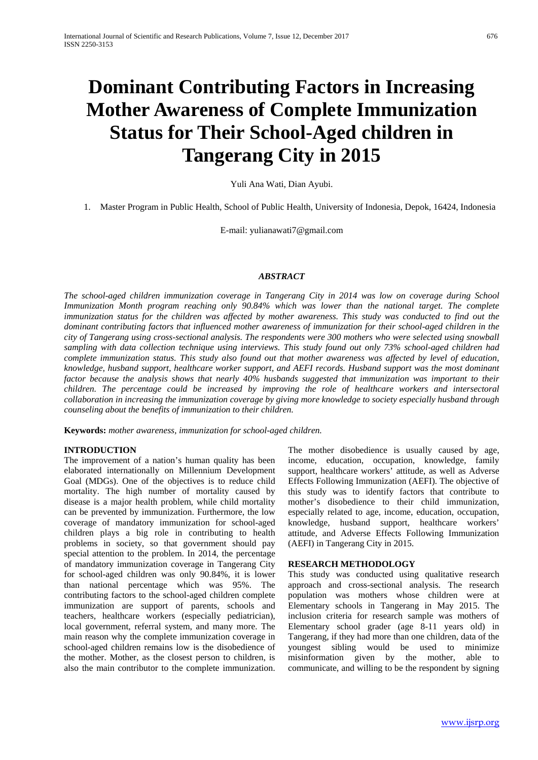# **Dominant Contributing Factors in Increasing Mother Awareness of Complete Immunization Status for Their School-Aged children in Tangerang City in 2015**

Yuli Ana Wati, Dian Ayubi.

1. Master Program in Public Health, School of Public Health, University of Indonesia, Depok, 16424, Indonesia

E-mail: yulianawati7@gmail.com

### *ABSTRACT*

*The school-aged children immunization coverage in Tangerang City in 2014 was low on coverage during School Immunization Month program reaching only 90.84% which was lower than the national target. The complete immunization status for the children was affected by mother awareness. This study was conducted to find out the dominant contributing factors that influenced mother awareness of immunization for their school-aged children in the city of Tangerang using cross-sectional analysis. The respondents were 300 mothers who were selected using snowball sampling with data collection technique using interviews. This study found out only 73% school-aged children had complete immunization status. This study also found out that mother awareness was affected by level of education, knowledge, husband support, healthcare worker support, and AEFI records. Husband support was the most dominant factor because the analysis shows that nearly 40% husbands suggested that immunization was important to their children. The percentage could be increased by improving the role of healthcare workers and intersectoral collaboration in increasing the immunization coverage by giving more knowledge to society especially husband through counseling about the benefits of immunization to their children.*

**Keywords:** *mother awareness, immunization for school-aged children.*

### **INTRODUCTION**

The improvement of a nation's human quality has been elaborated internationally on Millennium Development Goal (MDGs). One of the objectives is to reduce child mortality. The high number of mortality caused by disease is a major health problem, while child mortality can be prevented by immunization. Furthermore, the low coverage of mandatory immunization for school-aged children plays a big role in contributing to health problems in society, so that government should pay special attention to the problem. In 2014, the percentage of mandatory immunization coverage in Tangerang City for school-aged children was only 90.84%, it is lower than national percentage which was 95%. The contributing factors to the school-aged children complete immunization are support of parents, schools and teachers, healthcare workers (especially pediatrician), local government, referral system, and many more. The main reason why the complete immunization coverage in school-aged children remains low is the disobedience of the mother. Mother, as the closest person to children, is also the main contributor to the complete immunization. The mother disobedience is usually caused by age, income, education, occupation, knowledge, family support, healthcare workers' attitude, as well as Adverse Effects Following Immunization (AEFI). The objective of this study was to identify factors that contribute to mother's disobedience to their child immunization, especially related to age, income, education, occupation, knowledge, husband support, healthcare workers' attitude, and Adverse Effects Following Immunization (AEFI) in Tangerang City in 2015.

#### **RESEARCH METHODOLOGY**

This study was conducted using qualitative research approach and cross-sectional analysis. The research population was mothers whose children were at Elementary schools in Tangerang in May 2015. The inclusion criteria for research sample was mothers of Elementary school grader (age 8-11 years old) in Tangerang, if they had more than one children, data of the youngest sibling would be used to minimize misinformation given by the mother, able to communicate, and willing to be the respondent by signing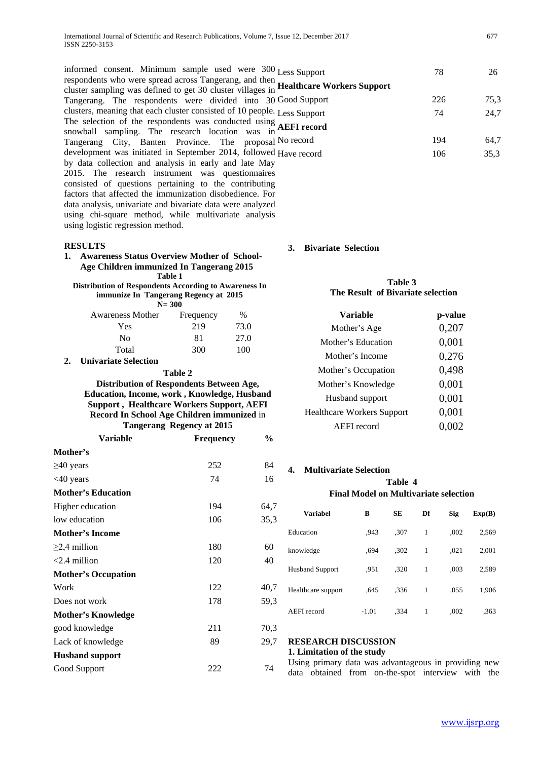informed consent. Minimum sample used were 300 respondents who were spread across Tangerang, and then cluster sampling was defined to get 30 cluster villages in Tangerang. The respondents were divided into 30 clusters, meaning that each cluster consisted of 10 people. The selection of the respondents was conducted using snowball sampling. The research location was in Tangerang City, Banten Province. The proposal development was initiated in September 2014, followed by data collection and analysis in early and late May 2015. The research instrument was questionnaires consisted of questions pertaining to the contributing factors that affected the immunization disobedience. For data analysis, univariate and bivariate data were analyzed using chi-square method, while multivariate analysis using logistic regression method.

#### **RESULTS**

**1. Awareness Status Overview Mother of School-Age Children immunized In Tangerang 2015 Table 1**

**Distribution of Respondents According to Awareness In immunize In Tangerang Regency at 2015 N= 300**

| <b>Awareness Mother</b> | Frequency | %    |
|-------------------------|-----------|------|
| Yes                     | 219       | 73.0 |
| No                      | 81        | 27.0 |
| Total                   | 300       | 100  |

#### **2. Univariate Selection**

#### **Table 2**

### **Distribution of Respondents Between Age, Education, Income, work , Knowledge, Husband Support , Healthcare Workers Support, AEFI Record In School Age Children immunized** in **Tangerang Regency at 2015**

| Variable                   | <b>Frequency</b> | $\%$ |  |
|----------------------------|------------------|------|--|
| Mother's                   |                  |      |  |
| $\geq$ 40 years            | 252              | 84   |  |
| $<$ 40 years               | 74               | 16   |  |
| <b>Mother's Education</b>  |                  |      |  |
| Higher education           | 194              | 64,7 |  |
| low education              | 106              | 35,3 |  |
| <b>Mother's Income</b>     |                  |      |  |
| $\geq$ 2,4 million         | 180              | 60   |  |
| $<$ 2.4 million            | 120              | 40   |  |
| <b>Mother's Occupation</b> |                  |      |  |
| Work                       | 122              | 40,7 |  |
| Does not work              | 178              | 59,3 |  |
| Mother's Knowledge         |                  |      |  |
| good knowledge             | 211              | 70,3 |  |
| Lack of knowledge          | 89               | 29,7 |  |
| <b>Husband support</b>     |                  |      |  |
| Good Support               | 222              | 74   |  |
|                            |                  |      |  |

| Less Support                      | 78  | 26   |
|-----------------------------------|-----|------|
| <b>Healthcare Workers Support</b> |     |      |
| Good Support                      | 226 | 75,3 |
| Less Support                      | 74  | 24.7 |
| <b>AEFI</b> record                |     |      |
| No record                         | 194 | 64,7 |
| Have record                       | 106 | 35,3 |

#### **3. Bivariate Selection**

### **Table 3 The Result of Bivariate selection**

| Variable                          | p-value |  |  |
|-----------------------------------|---------|--|--|
| Mother's Age                      | 0,207   |  |  |
| Mother's Education                | 0,001   |  |  |
| Mother's Income                   | 0,276   |  |  |
| Mother's Occupation               | 0,498   |  |  |
| Mother's Knowledge                | 0,001   |  |  |
| Husband support                   | 0,001   |  |  |
| <b>Healthcare Workers Support</b> | 0,001   |  |  |
| <b>AEFI</b> record                | 0.002   |  |  |
|                                   |         |  |  |

#### **4. Multivariate Selection**

#### **Table 4 Final Model on Multivariate selection**

| Variabel               | в       | SЕ   | Df | <b>Sig</b> | Exp(B) |
|------------------------|---------|------|----|------------|--------|
| Education              | .943    | .307 | 1  | ,002       | 2,569  |
| knowledge              | .694    | .302 | 1  | ,021       | 2,001  |
| <b>Husband Support</b> | .951    | .320 | 1  | ,003       | 2,589  |
| Healthcare support     | .645    | .336 | 1  | ,055       | 1,906  |
| AEFI record            | $-1.01$ | .334 | 1  | ,002       | .363   |

## **RESEARCH DISCUSSION**

**1. Limitation of the study**

Using primary data was advantageous in providing new data obtained from on-the-spot interview with the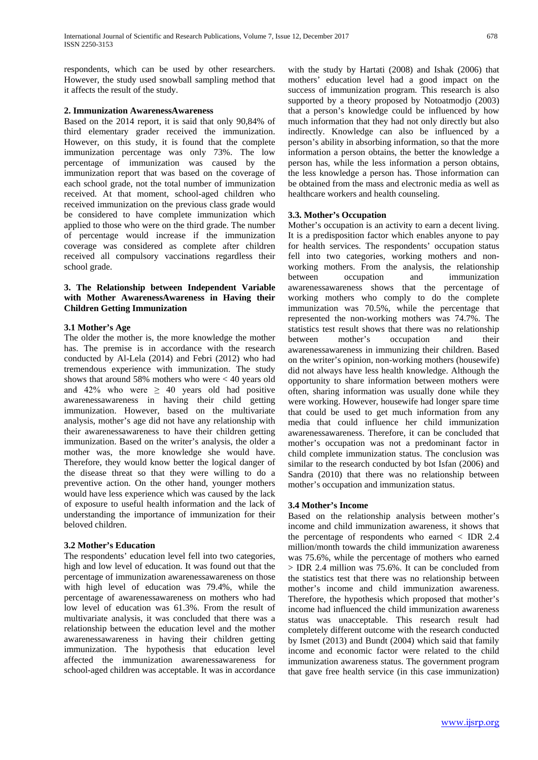respondents, which can be used by other researchers. However, the study used snowball sampling method that it affects the result of the study.

#### **2. Immunization AwarenessAwareness**

Based on the 2014 report, it is said that only 90,84% of third elementary grader received the immunization. However, on this study, it is found that the complete immunization percentage was only 73%. The low percentage of immunization was caused by the immunization report that was based on the coverage of each school grade, not the total number of immunization received. At that moment, school-aged children who received immunization on the previous class grade would be considered to have complete immunization which applied to those who were on the third grade. The number of percentage would increase if the immunization coverage was considered as complete after children received all compulsory vaccinations regardless their school grade.

#### **3. The Relationship between Independent Variable with Mother AwarenessAwareness in Having their Children Getting Immunization**

#### **3.1 Mother's Age**

The older the mother is, the more knowledge the mother has. The premise is in accordance with the research conducted by Al-Lela (2014) and Febri (2012) who had tremendous experience with immunization. The study shows that around 58% mothers who were < 40 years old and 42% who were  $\geq$  40 years old had positive awarenessawareness in having their child getting immunization. However, based on the multivariate analysis, mother's age did not have any relationship with their awarenessawareness to have their children getting immunization. Based on the writer's analysis, the older a mother was, the more knowledge she would have. Therefore, they would know better the logical danger of the disease threat so that they were willing to do a preventive action. On the other hand, younger mothers would have less experience which was caused by the lack of exposure to useful health information and the lack of understanding the importance of immunization for their beloved children.

#### **3.2 Mother's Education**

The respondents' education level fell into two categories, high and low level of education. It was found out that the percentage of immunization awarenessawareness on those with high level of education was 79.4%, while the percentage of awarenessawareness on mothers who had low level of education was 61.3%. From the result of multivariate analysis, it was concluded that there was a relationship between the education level and the mother awarenessawareness in having their children getting immunization. The hypothesis that education level affected the immunization awarenessawareness for school-aged children was acceptable. It was in accordance

with the study by Hartati (2008) and Ishak (2006) that mothers' education level had a good impact on the success of immunization program. This research is also supported by a theory proposed by Notoatmodjo (2003) that a person's knowledge could be influenced by how much information that they had not only directly but also indirectly. Knowledge can also be influenced by a person's ability in absorbing information, so that the more information a person obtains, the better the knowledge a person has, while the less information a person obtains, the less knowledge a person has. Those information can be obtained from the mass and electronic media as well as healthcare workers and health counseling.

#### **3.3. Mother's Occupation**

Mother's occupation is an activity to earn a decent living. It is a predisposition factor which enables anyone to pay for health services. The respondents' occupation status fell into two categories, working mothers and nonworking mothers. From the analysis, the relationship between occupation and immunization awarenessawareness shows that the percentage of working mothers who comply to do the complete immunization was 70.5%, while the percentage that represented the non-working mothers was 74.7%. The statistics test result shows that there was no relationship between mother's occupation and their awarenessawareness in immunizing their children. Based on the writer's opinion, non-working mothers (housewife) did not always have less health knowledge. Although the opportunity to share information between mothers were often, sharing information was usually done while they were working. However, housewife had longer spare time that could be used to get much information from any media that could influence her child immunization awarenessawareness. Therefore, it can be concluded that mother's occupation was not a predominant factor in child complete immunization status. The conclusion was similar to the research conducted by bot Isfan (2006) and Sandra (2010) that there was no relationship between mother's occupation and immunization status.

#### **3.4 Mother's Income**

Based on the relationship analysis between mother's income and child immunization awareness, it shows that the percentage of respondents who earned < IDR 2.4 million/month towards the child immunization awareness was 75.6%, while the percentage of mothers who earned  $>$  IDR 2.4 million was 75.6%. It can be concluded from the statistics test that there was no relationship between mother's income and child immunization awareness. Therefore, the hypothesis which proposed that mother's income had influenced the child immunization awareness status was unacceptable. This research result had completely different outcome with the research conducted by Ismet (2013) and Bundt (2004) which said that family income and economic factor were related to the child immunization awareness status. The government program that gave free health service (in this case immunization)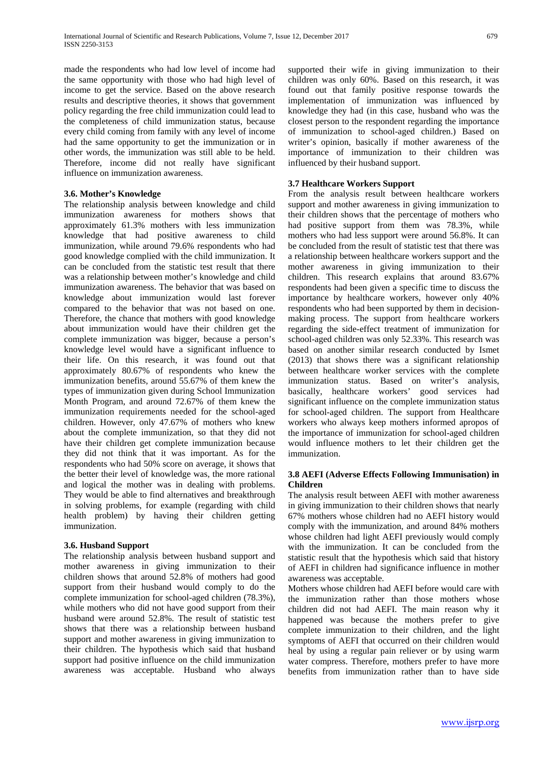made the respondents who had low level of income had the same opportunity with those who had high level of income to get the service. Based on the above research results and descriptive theories, it shows that government policy regarding the free child immunization could lead to the completeness of child immunization status, because every child coming from family with any level of income had the same opportunity to get the immunization or in other words, the immunization was still able to be held. Therefore, income did not really have significant influence on immunization awareness.

#### **3.6. Mother's Knowledge**

The relationship analysis between knowledge and child immunization awareness for mothers shows that approximately 61.3% mothers with less immunization knowledge that had positive awareness to child immunization, while around 79.6% respondents who had good knowledge complied with the child immunization. It can be concluded from the statistic test result that there was a relationship between mother's knowledge and child immunization awareness. The behavior that was based on knowledge about immunization would last forever compared to the behavior that was not based on one. Therefore, the chance that mothers with good knowledge about immunization would have their children get the complete immunization was bigger, because a person's knowledge level would have a significant influence to their life. On this research, it was found out that approximately 80.67% of respondents who knew the immunization benefits, around 55.67% of them knew the types of immunization given during School Immunization Month Program, and around 72.67% of them knew the immunization requirements needed for the school-aged children. However, only 47.67% of mothers who knew about the complete immunization, so that they did not have their children get complete immunization because they did not think that it was important. As for the respondents who had 50% score on average, it shows that the better their level of knowledge was, the more rational and logical the mother was in dealing with problems. They would be able to find alternatives and breakthrough in solving problems, for example (regarding with child health problem) by having their children getting immunization.

#### **3.6. Husband Support**

The relationship analysis between husband support and mother awareness in giving immunization to their children shows that around 52.8% of mothers had good support from their husband would comply to do the complete immunization for school-aged children (78.3%), while mothers who did not have good support from their husband were around 52.8%. The result of statistic test shows that there was a relationship between husband support and mother awareness in giving immunization to their children. The hypothesis which said that husband support had positive influence on the child immunization awareness was acceptable. Husband who always

supported their wife in giving immunization to their children was only 60%. Based on this research, it was found out that family positive response towards the implementation of immunization was influenced by knowledge they had (in this case, husband who was the closest person to the respondent regarding the importance of immunization to school-aged children.) Based on writer's opinion, basically if mother awareness of the importance of immunization to their children was influenced by their husband support.

#### **3.7 Healthcare Workers Support**

From the analysis result between healthcare workers support and mother awareness in giving immunization to their children shows that the percentage of mothers who had positive support from them was 78.3%, while mothers who had less support were around 56.8%. It can be concluded from the result of statistic test that there was a relationship between healthcare workers support and the mother awareness in giving immunization to their children. This research explains that around 83.67% respondents had been given a specific time to discuss the importance by healthcare workers, however only 40% respondents who had been supported by them in decisionmaking process. The support from healthcare workers regarding the side-effect treatment of immunization for school-aged children was only 52.33%. This research was based on another similar research conducted by Ismet (2013) that shows there was a significant relationship between healthcare worker services with the complete immunization status. Based on writer's analysis, basically, healthcare workers' good services had significant influence on the complete immunization status for school-aged children. The support from Healthcare workers who always keep mothers informed apropos of the importance of immunization for school-aged children would influence mothers to let their children get the immunization.

#### **3.8 AEFI (Adverse Effects Following Immunisation) in Children**

The analysis result between AEFI with mother awareness in giving immunization to their children shows that nearly 67% mothers whose children had no AEFI history would comply with the immunization, and around 84% mothers whose children had light AEFI previously would comply with the immunization. It can be concluded from the statistic result that the hypothesis which said that history of AEFI in children had significance influence in mother awareness was acceptable.

Mothers whose children had AEFI before would care with the immunization rather than those mothers whose children did not had AEFI. The main reason why it happened was because the mothers prefer to give complete immunization to their children, and the light symptoms of AEFI that occurred on their children would heal by using a regular pain reliever or by using warm water compress. Therefore, mothers prefer to have more benefits from immunization rather than to have side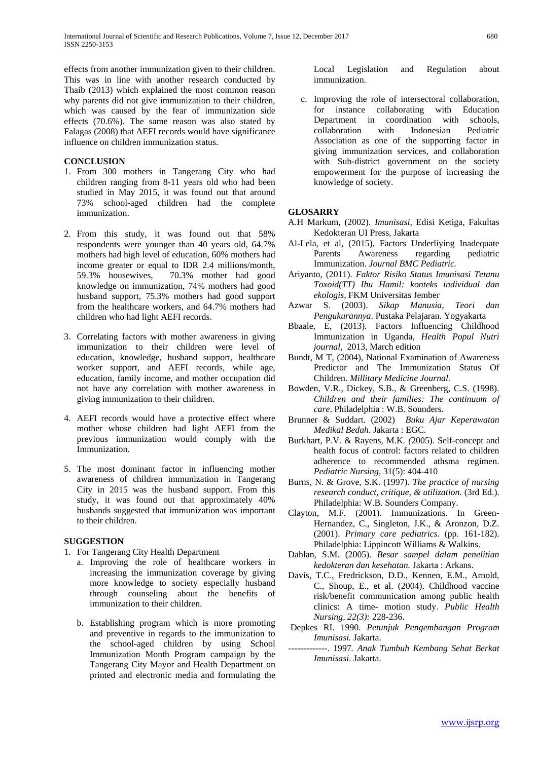effects from another immunization given to their children. This was in line with another research conducted by Thaib (2013) which explained the most common reason why parents did not give immunization to their children, which was caused by the fear of immunization side effects (70.6%). The same reason was also stated by Falagas (2008) that AEFI records would have significance influence on children immunization status.

#### **CONCLUSION**

- 1. From 300 mothers in Tangerang City who had children ranging from 8-11 years old who had been studied in May 2015, it was found out that around 73% school-aged children had the complete immunization.
- 2. From this study, it was found out that 58% respondents were younger than 40 years old, 64.7% mothers had high level of education, 60% mothers had income greater or equal to IDR 2.4 millions/month, 59.3% housewives, 70.3% mother had good knowledge on immunization, 74% mothers had good husband support, 75.3% mothers had good support from the healthcare workers, and 64.7% mothers had children who had light AEFI records.
- 3. Correlating factors with mother awareness in giving immunization to their children were level of education, knowledge, husband support, healthcare worker support, and AEFI records, while age, education, family income, and mother occupation did not have any correlation with mother awareness in giving immunization to their children.
- 4. AEFI records would have a protective effect where mother whose children had light AEFI from the previous immunization would comply with the Immunization.
- 5. The most dominant factor in influencing mother awareness of children immunization in Tangerang City in 2015 was the husband support. From this study, it was found out that approximately 40% husbands suggested that immunization was important to their children.

#### **SUGGESTION**

- 1. For Tangerang City Health Department
	- a. Improving the role of healthcare workers in increasing the immunization coverage by giving more knowledge to society especially husband through counseling about the benefits of immunization to their children.
	- b. Establishing program which is more promoting and preventive in regards to the immunization to the school-aged children by using School Immunization Month Program campaign by the Tangerang City Mayor and Health Department on printed and electronic media and formulating the

Local Legislation and Regulation about immunization.

c. Improving the role of intersectoral collaboration, for instance collaborating with Education Department in coordination with schools, collaboration with Indonesian Pediatric Association as one of the supporting factor in giving immunization services, and collaboration with Sub-district government on the society empowerment for the purpose of increasing the knowledge of society.

#### **GLOSARRY**

- A.H Markum, (2002). *Imunisasi*, Edisi Ketiga, Fakultas Kedokteran UI Press, Jakarta
- Al-Lela, et al, (2015), Factors Underliying Inadequate Parents Awareness regarding pediatric Immunization. *Journal BMC Pediatric.*
- Ariyanto, (2011). *Faktor Risiko Status Imunisasi Tetanu Toxoid(TT) Ibu Hamil: konteks individual dan ekologis*, FKM Universitas Jember
- Azwar S. (2003). *Sikap Manusia, Teori dan Pengukurannya*. Pustaka Pelajaran. Yogyakarta
- Bbaale, E, (2013). Factors Influencing Childhood Immunization in Uganda*, Health Popul Nutri journal,* 2013, March edition
- Bundt, M T, (2004), National Examination of Awareness Predictor and The Immunization Status Of Children. *Millitary Medicine Journal.*
- Bowden, V.R., Dickey, S.B., & Greenberg, C.S. (1998). *Children and their families: The continuum of care*. Philadelphia : W.B. Sounders.
- Brunner & Suddart. (2002) *Buku Ajar Keperawatan Medikal Bedah*. Jakarta : EGC.
- Burkhart, P.V. & Rayens, M.K*. (*2005). Self-concept and health focus of control: factors related to children adherence to recommended athsma regimen. *Pediatric Nursing,* 31(5): 404-410
- Burns, N. & Grove, S.K. (1997). *The practice of nursing research conduct, critique, & utilization.* (3rd Ed.). Philadelphia: W.B. Sounders Company.
- Clayton, M.F. (2001). Immunizations. In Green-Hernandez, C., Singleton, J.K., & Aronzon, D.Z. (2001). *Primary care pediatrics.* (pp. 161-182). Philadelphia: Lippincott Williams & Walkins.
- Dahlan, S.M. (2005). *Besar sampel dalam penelitian kedokteran dan kesehatan.* Jakarta : Arkans.
- Davis, T.C., Fredrickson, D.D., Kennen, E.M., Arnold, C., Shoup, E., et al. (2004). Childhood vaccine risk/benefit communication among public health clinics: A time- motion study. *Public Health Nursing, 22(3):* 228-236.
- Depkes RI. 1990*. Petunjuk Pengembangan Program Imunisasi.* Jakarta.
- -------------. 1997*. Anak Tumbuh Kembang Sehat Berkat Imunisasi*. Jakarta.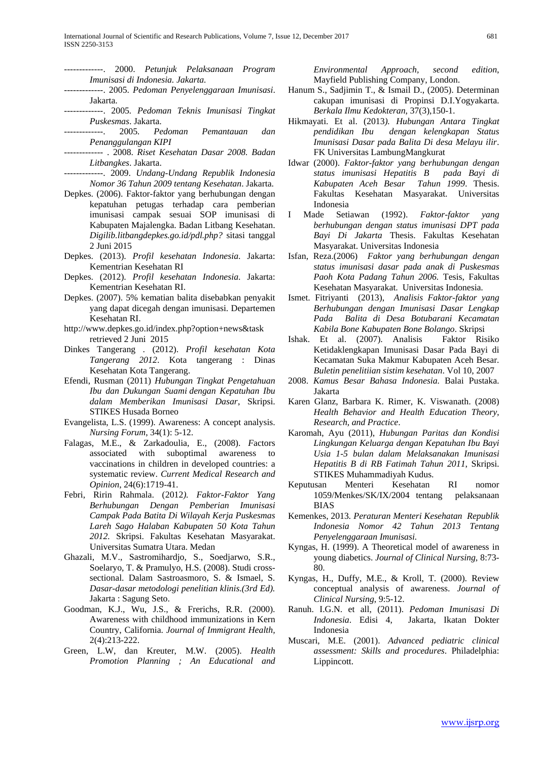- -------------. 2000. *Petunjuk Pelaksanaan Program Imunisasi di Indonesia. Jakarta.*
- -------------. 2005. *Pedoman Penyelenggaraan Imunisasi*. Jakarta.
- -------------. 2005*. Pedoman Teknis Imunisasi Tingkat Puskesmas*. Jakarta.
- -------------. 2005*. Pedoman Pemantauan dan Penanggulangan KIPI*
- ------------- . 2008. *Riset Kesehatan Dasar 2008. Badan Litbangkes*. Jakarta.
- -------------. 2009. *Undang-Undang Republik Indonesia Nomor 36 Tahun 2009 tentang Kesehatan*. Jakarta.
- Depkes. (2006). Faktor-faktor yang berhubungan dengan kepatuhan petugas terhadap cara pemberian imunisasi campak sesuai SOP imunisasi di Kabupaten Majalengka. Badan Litbang Kesehatan. *Digilib.litbangdepkes.go.id/pdl.php?* sitasi tanggal 2 Juni 2015
- Depkes. (2013). *Profil kesehatan Indonesia*. Jakarta: Kementrian Kesehatan RI
- Depkes. (2012). *Profil kesehatan Indonesia*. Jakarta: Kementrian Kesehatan RI.
- Depkes. (2007). 5% kematian balita disebabkan penyakit yang dapat dicegah dengan imunisasi. Departemen Kesehatan RI.
- http://www.depkes.go.id/index.php?option+news&task retrieved 2 Juni 2015
- Dinkes Tangerang . (2012). *Profil kesehatan Kota Tangerang 2012*. Kota tangerang : Dinas Kesehatan Kota Tangerang.
- Efendi, Rusman (2011) *Hubungan Tingkat Pengetahuan Ibu dan Dukungan Suami dengan Kepatuhan Ibu dalam Memberikan Imunisasi Dasar*, Skripsi. STIKES Husada Borneo
- Evangelista, L.S. (1999). Awareness: A concept analysis. *Nursing Forum*, 34(1): 5-12.
- Falagas, M.E., & Zarkadoulia, E., (2008). *F*actors associated with suboptimal awareness to vaccinations in children in developed countries: a systematic review. *Current Medical Research and Opinion*, 24(6):1719-41.
- Febri, Ririn Rahmala. (2012*). Faktor-Faktor Yang Berhubungan Dengan Pemberian Imunisasi Campak Pada Batita Di Wilayah Kerja Puskesmas Lareh Sago Halaban Kabupaten 50 Kota Tahun 2012.* Skripsi. Fakultas Kesehatan Masyarakat. Universitas Sumatra Utara. Medan
- Ghazali, M.V., Sastromihardjo, S., Soedjarwo, S.R., Soelaryo, T. & Pramulyo, H.S. (2008). Studi crosssectional. Dalam Sastroasmoro, S. & Ismael, S*. Dasar-dasar metodologi penelitian klinis.(3rd Ed).*  Jakarta : Sagung Seto.
- Goodman, K.J., Wu, J.S., & Frerichs, R.R. (2000). Awareness with childhood immunizations in Kern Country, California. *Journal of Immigrant Health,* 2(4):213-222.
- Green, L.W, dan Kreuter, M.W. (2005). *Health Promotion Planning ; An Educational and*

*Environmental Approach, second edition*, Mayfield Publishing Company, London.

- Hanum S., Sadjimin T., & Ismail D., (2005). Determinan cakupan imunisasi di Propinsi D.I.Yogyakarta. *Berkala Ilmu Kedokteran*, 37(3),150-1.
- Hikmayati. Et al. (2013*). Hubungan Antara Tingkat pendidikan Ibu dengan kelengkapan Status Imunisasi Dasar pada Balita Di desa Melayu ilir*. FK Universitas LambungMangkurat
- Idwar (2000). *Faktor-faktor yang berhubungan dengan status imunisasi Hepatitis B pada Bayi di Kabupaten Aceh Besar Tahun 1999*. Thesis. Fakultas Kesehatan Masyarakat. Universitas Indonesia
- I Made Setiawan (1992). *Faktor-faktor yang berhubungan dengan status imunisasi DPT pada Bayi Di Jakarta* Thesis. Fakultas Kesehatan Masyarakat. Universitas Indonesia
- Isfan, Reza.(2006) *Faktor yang berhubungan dengan status imunisasi dasar pada anak di Puskesmas Paoh Kota Padang Tahun 2006.* Tesis, Fakultas Kesehatan Masyarakat. Universitas Indonesia.
- Ismet. Fitriyanti (2013), *Analisis Faktor-faktor yang Berhubungan dengan Imunisasi Dasar Lengkap Pada Balita di Desa Botubarani Kecamatan Kabila Bone Kabupaten Bone Bolango*. Skripsi
- Ishak. Et al. (2007). Analisis Faktor Risiko Ketidaklengkapan Imunisasi Dasar Pada Bayi di Kecamatan Suka Makmur Kabupaten Aceh Besar*. Buletin penelitiian sistim kesehatan*. Vol 10, 2007
- 2008. *Kamus Besar Bahasa Indonesia.* Balai Pustaka. Jakarta
- Karen Glanz, Barbara K. Rimer, K. Viswanath. (2008) *Health Behavior and Health Education Theory, Research, and Practice*.
- Karomah, Ayu (2011), *Hubungan Paritas dan Kondisi Lingkungan Keluarga dengan Kepatuhan Ibu Bayi Usia 1-5 bulan dalam Melaksanakan Imunisasi Hepatitis B di RB Fatimah Tahun 2011*, Skripsi. STIKES Muhammadiyah Kudus.
- Keputusan Menteri Kesehatan RI nomor 1059/Menkes/SK/IX/2004 tentang pelaksanaan BIAS
- Kemenkes, 2013*. Peraturan Menteri Kesehatan Republik Indonesia Nomor 42 Tahun 2013 Tentang Penyelenggaraan Imunisasi.*
- Kyngas, H. (1999). A Theoretical model of awareness in young diabetics. *Journal of Clinical Nursing,* 8:73- 80.
- Kyngas, H., Duffy, M.E., & Kroll, T. (2000). Review conceptual analysis of awareness. *Journal of Clinical Nursing*, 9:5-12.
- Ranuh. I.G.N. et all, (2011). *Pedoman Imunisasi Di Indonesia*. Edisi 4, Jakarta, Ikatan Dokter Indonesia
- Muscari, M.E. (2001). *Advanced pediatric clinical assessment: Skills and procedures*. Philadelphia: Lippincott.